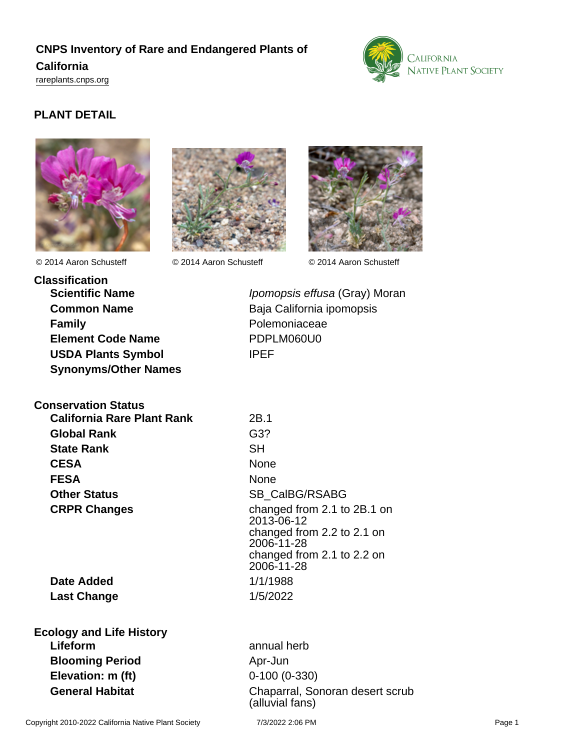## **CNPS Inventory of Rare and Endangered Plants of California** <rareplants.cnps.org>



## **PLANT DETAIL**





© 2014 Aaron Schusteff © 2014 Aaron Schusteff © 2014 Aaron Schusteff



**Classification Scientific Name Ipomopsis effusa (Gray) Moran Common Name** Baja California ipomopsis **Family Family Polemoniaceae Element Code Name** PDPLM060U0 **USDA Plants Symbol** IPEF **Synonyms/Other Names**

#### **Conservation Status**

**California Rare Plant Rank** 2B.1 **Global Rank** G3? **State Rank** SH **CESA** None **FESA** None **Other Status** SB CalBG/RSABG

**Date Added** 1/1/1988 **Last Change** 1/5/2022

**CRPR Changes** changed from 2.1 to 2B.1 on 2013-06-12 changed from 2.2 to 2.1 on 2006-11-28 changed from 2.1 to 2.2 on 2006-11-28

**Ecology and Life History Lifeform** annual herb **Blooming Period** Apr-Jun **Elevation: m (ft)** 0-100 (0-330)

**General Habitat** Chaparral, Sonoran desert scrub (alluvial fans)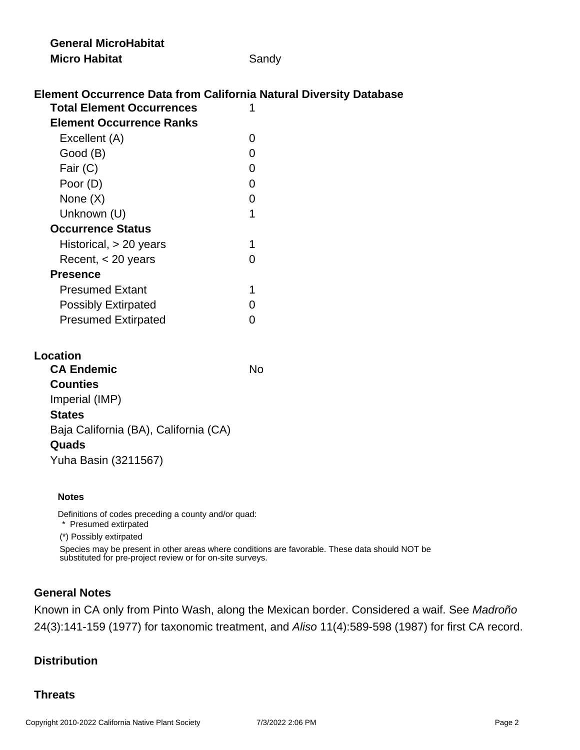| <b>General MicroHabitat</b>                                               |                |
|---------------------------------------------------------------------------|----------------|
| <b>Micro Habitat</b>                                                      | Sandy          |
|                                                                           |                |
| <b>Element Occurrence Data from California Natural Diversity Database</b> |                |
| <b>Total Element Occurrences</b>                                          | 1              |
| <b>Element Occurrence Ranks</b>                                           |                |
| Excellent (A)                                                             | 0              |
| Good (B)                                                                  | 0              |
| Fair (C)                                                                  | 0              |
| Poor (D)                                                                  | 0              |
| None $(X)$                                                                | 0              |
| Unknown (U)                                                               | 1              |
| <b>Occurrence Status</b>                                                  |                |
| Historical, $> 20$ years                                                  | 1              |
| Recent, $<$ 20 years                                                      | 0              |
| <b>Presence</b>                                                           |                |
| <b>Presumed Extant</b>                                                    | 1              |
| <b>Possibly Extirpated</b>                                                | 0              |
| <b>Presumed Extirpated</b>                                                | $\overline{0}$ |
|                                                                           |                |
| <b>Location</b>                                                           |                |
| <b>CA Endemic</b>                                                         | <b>No</b>      |
| <b>Counties</b>                                                           |                |
| Imperial (IMP)                                                            |                |
| <b>States</b>                                                             |                |
| Baja California (BA), California (CA)                                     |                |
|                                                                           |                |

#### **Quads**

Yuha Basin (3211567)

#### **Notes**

Definitions of codes preceding a county and/or quad:

\* Presumed extirpated

(\*) Possibly extirpated

Species may be present in other areas where conditions are favorable. These data should NOT be substituted for pre-project review or for on-site surveys.

#### **General Notes**

Known in CA only from Pinto Wash, along the Mexican border. Considered a waif. See Madroño 24(3):141-159 (1977) for taxonomic treatment, and Aliso 11(4):589-598 (1987) for first CA record.

## **Distribution**

## **Threats**